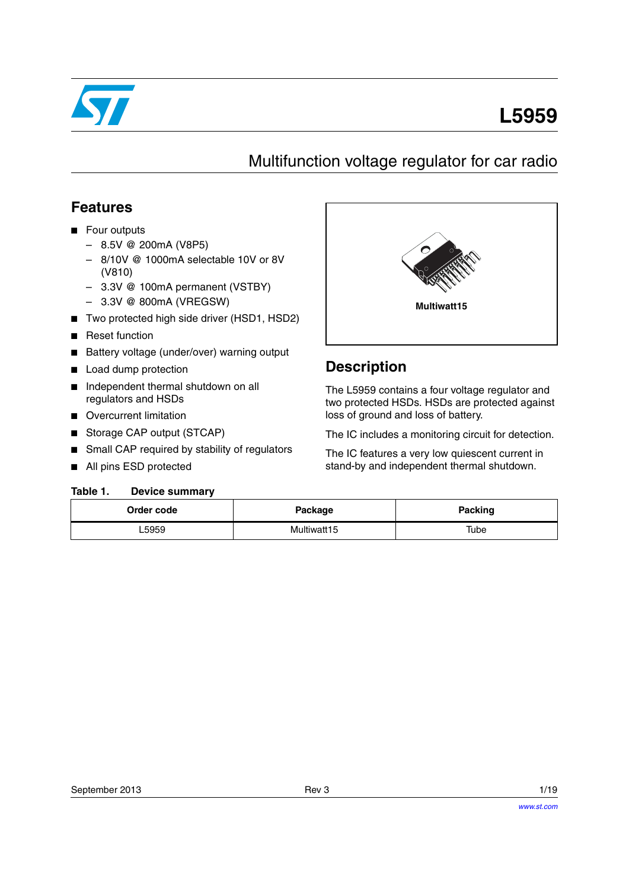

# **L5959**

## Multifunction voltage regulator for car radio

## **Features**

- Four outputs
	- 8.5V @ 200mA (V8P5)
	- 8/10V @ 1000mA selectable 10V or 8V (V810)
	- 3.3V @ 100mA permanent (VSTBY)
	- 3.3V @ 800mA (VREGSW)
- Two protected high side driver (HSD1, HSD2)
- Reset function
- Battery voltage (under/over) warning output
- **Load dump protection**
- Independent thermal shutdown on all regulators and HSDs
- Overcurrent limitation
- Storage CAP output (STCAP)
- Small CAP required by stability of regulators
- All pins ESD protected

#### <span id="page-0-0"></span>**Table 1. Device summary**



## **Description**

The L5959 contains a four voltage regulator and two protected HSDs. HSDs are protected against loss of ground and loss of battery.

The IC includes a monitoring circuit for detection.

The IC features a very low quiescent current in stand-by and independent thermal shutdown.

| Order code | Package     | Packing |
|------------|-------------|---------|
| -5959      | Multiwatt15 | Tube    |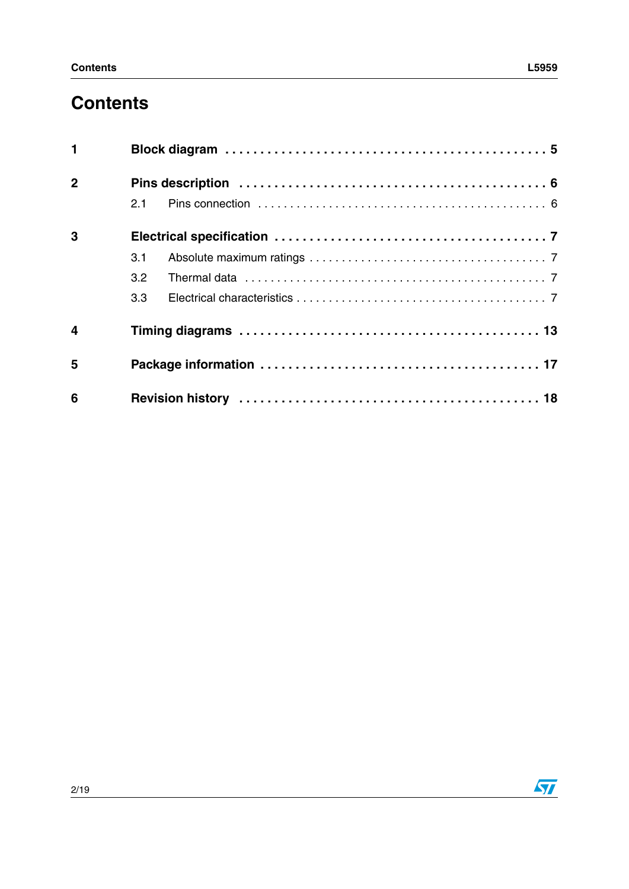# **Contents**

| $\mathbf{1}$            |     |  |  |  |
|-------------------------|-----|--|--|--|
| $\mathbf{2}$            |     |  |  |  |
|                         | 2.1 |  |  |  |
| 3                       |     |  |  |  |
|                         | 3.1 |  |  |  |
|                         | 3.2 |  |  |  |
|                         | 3.3 |  |  |  |
| $\overline{\mathbf{4}}$ |     |  |  |  |
| 5                       |     |  |  |  |
| 6                       |     |  |  |  |

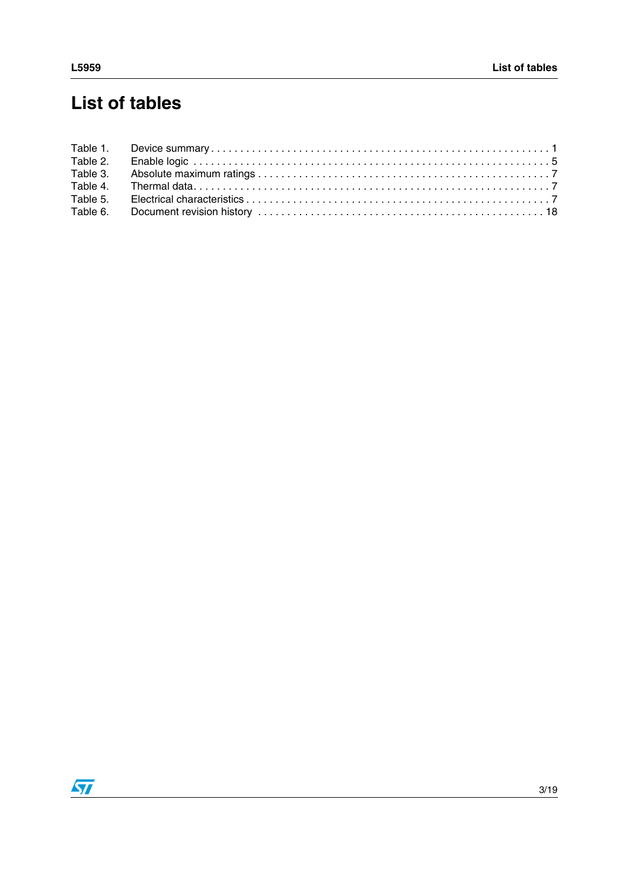# **List of tables**

| Table 2. |  |
|----------|--|
| Table 3. |  |
|          |  |
|          |  |
|          |  |

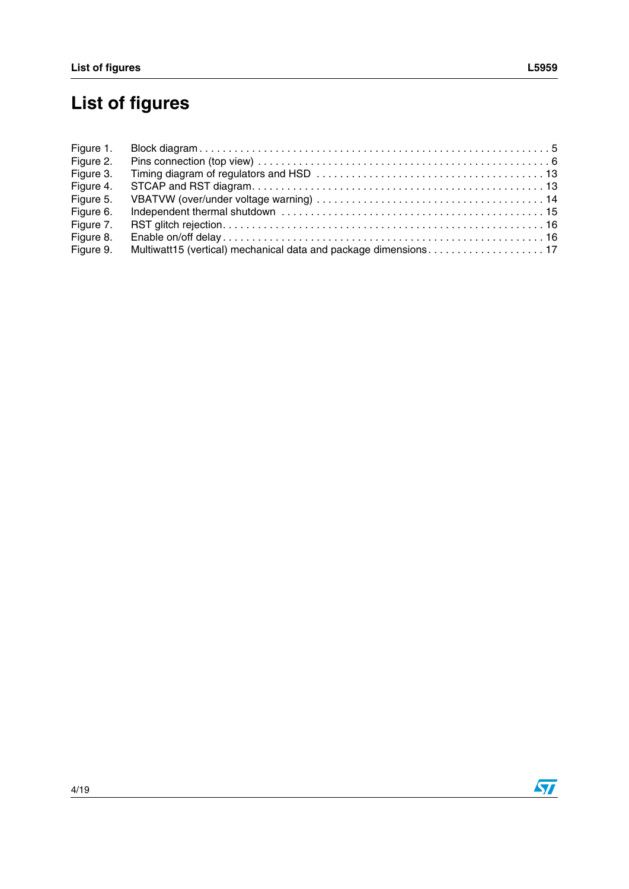# **List of figures**

| Figure 1. |  |
|-----------|--|
| Figure 2. |  |
| Figure 3. |  |
| Figure 4. |  |
| Figure 5. |  |
| Figure 6. |  |
| Figure 7. |  |
| Figure 8. |  |
| Figure 9. |  |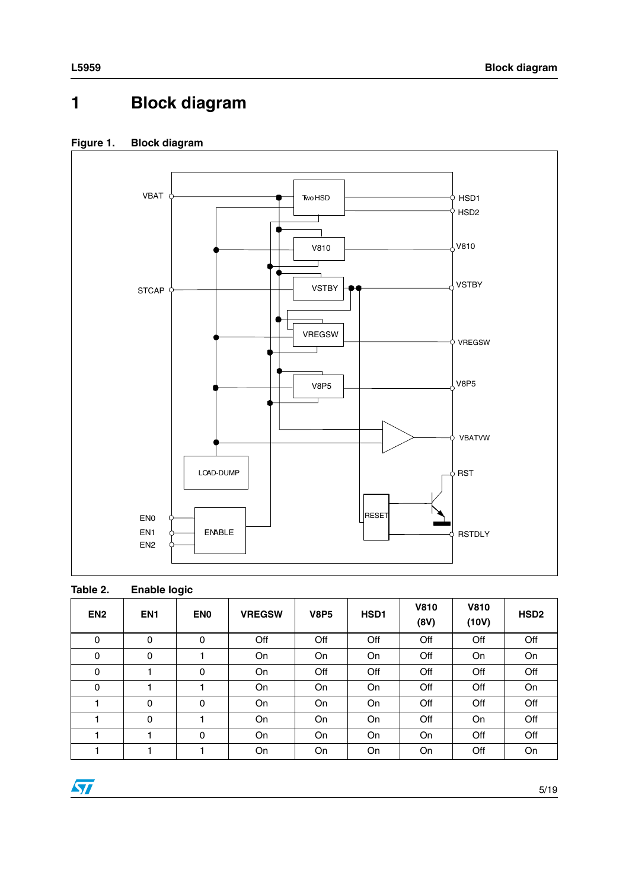# <span id="page-4-0"></span>**1 Block diagram**



#### <span id="page-4-2"></span>**Figure 1. Block diagram**

<span id="page-4-1"></span>

| Table 2.        | <b>Enable logic</b> |                 |               |             |           |                     |                      |                  |
|-----------------|---------------------|-----------------|---------------|-------------|-----------|---------------------|----------------------|------------------|
| EN <sub>2</sub> | EN <sub>1</sub>     | EN <sub>0</sub> | <b>VREGSW</b> | <b>V8P5</b> | HSD1      | <b>V810</b><br>(8V) | <b>V810</b><br>(10V) | HSD <sub>2</sub> |
| 0               | 0                   | 0               | Off           | Off         | Off       | Off                 | Off                  | Off              |
| 0               | 0                   |                 | On            | <b>On</b>   | <b>On</b> | Off                 | On.                  | <b>On</b>        |
| 0               |                     | 0               | On            | Off         | Off       | Off                 | Off                  | Off              |
| 0               |                     |                 | On            | <b>On</b>   | <b>On</b> | Off                 | Off                  | <b>On</b>        |
|                 | 0                   | 0               | On            | On          | <b>On</b> | Off                 | Off                  | Off              |
|                 | 0                   |                 | On            | On          | On        | Off                 | <b>On</b>            | Off              |
|                 |                     | 0               | On            | <b>On</b>   | <b>On</b> | On                  | Off                  | Off              |
|                 |                     |                 | On            | On          | On        | On                  | Off                  | On               |

 $\overline{\mathbf{H}}$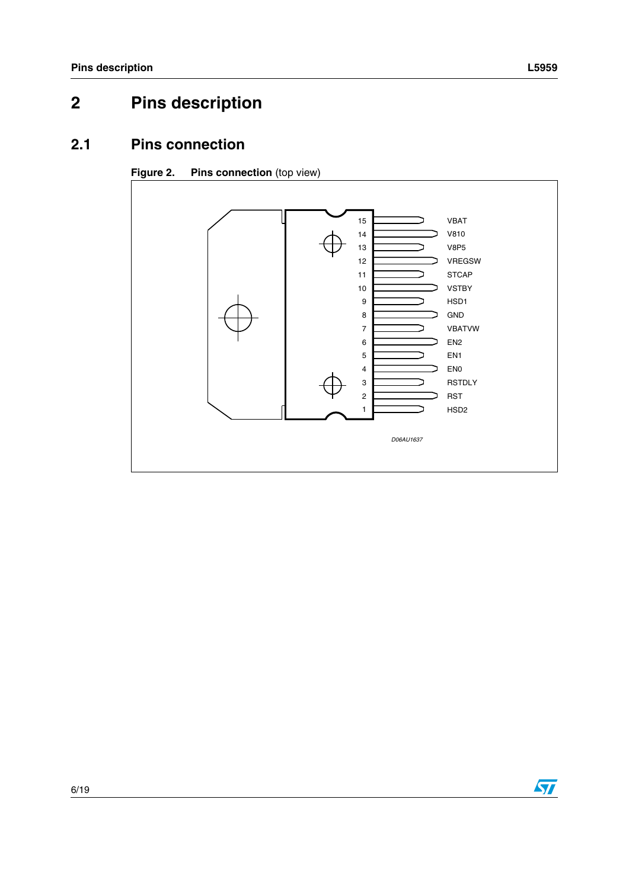# <span id="page-5-0"></span>**2 Pins description**

## <span id="page-5-1"></span>**2.1 Pins connection**

#### <span id="page-5-2"></span>**Figure 2.** Pins connection (top view)



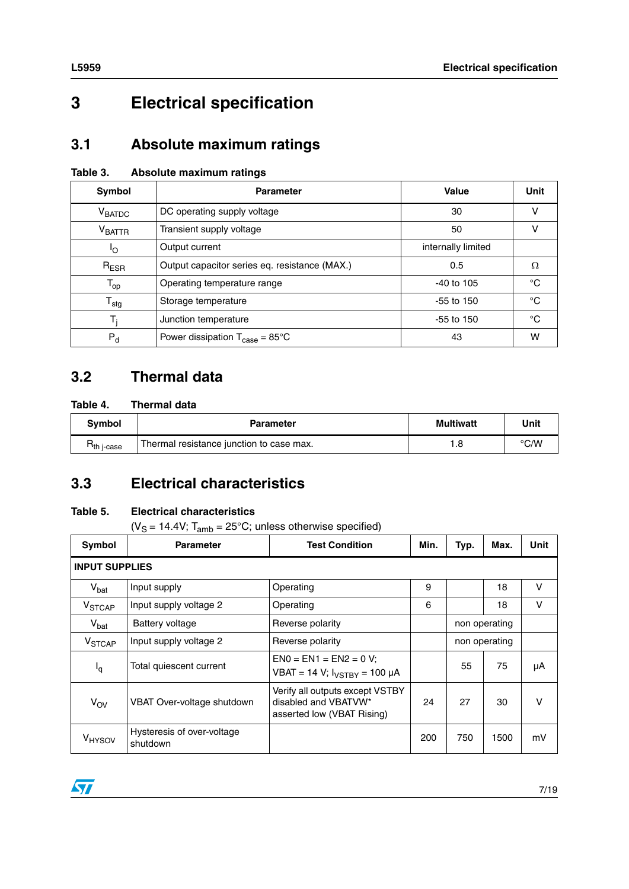# <span id="page-6-0"></span>**3 Electrical specification**

## <span id="page-6-1"></span>**3.1 Absolute maximum ratings**

<span id="page-6-4"></span>

| Absolute maximum ratings<br>Table 3. |  |
|--------------------------------------|--|
|--------------------------------------|--|

| Symbol                       | <b>Parameter</b>                                   | Value              | <b>Unit</b> |
|------------------------------|----------------------------------------------------|--------------------|-------------|
| V <sub>BATDC</sub>           | DC operating supply voltage                        | 30                 | v           |
| $V_{\text{BATTR}}$           | Transient supply voltage                           | 50                 | v           |
| Ιo                           | Output current                                     | internally limited |             |
| $R_{ESR}$                    | Output capacitor series eq. resistance (MAX.)      | 0.5                | Ω           |
| $\mathsf{T}_{\mathsf{op}}$   | Operating temperature range                        | $-40$ to $105$     | °C          |
| ${\mathsf T}_{\textsf{stg}}$ | Storage temperature                                | $-55$ to 150       | °C          |
| T,                           | Junction temperature                               | $-55$ to 150       | $^{\circ}C$ |
| $P_{d}$                      | Power dissipation $T_{\text{case}} = 85^{\circ}$ C | 43                 | w           |

## <span id="page-6-2"></span>**3.2 Thermal data**

#### <span id="page-6-5"></span>**Table 4. Thermal data**

| Svmbol                | <b>Parameter</b>                         | <b>Multiwatt</b> | Unit |
|-----------------------|------------------------------------------|------------------|------|
| h i-case <sup>-</sup> | Thermal resistance junction to case max. | .8               | °C/W |

## <span id="page-6-3"></span>**3.3 Electrical characteristics**

#### <span id="page-6-6"></span>**Table 5. Electrical characteristics**

( $V_S = 14.4V$ ; T<sub>amb</sub> = 25°C; unless otherwise specified)

| Symbol                   | <b>Parameter</b>                       | <b>Test Condition</b>                                                                 | Min. | Typ.          | Max.          | Unit |  |
|--------------------------|----------------------------------------|---------------------------------------------------------------------------------------|------|---------------|---------------|------|--|
| <b>INPUT SUPPLIES</b>    |                                        |                                                                                       |      |               |               |      |  |
| $V_{bat}$                | Input supply                           | Operating                                                                             | 9    |               | 18            | V    |  |
| V <sub>STCAP</sub>       | Input supply voltage 2                 | Operating                                                                             | 6    |               | 18            | V    |  |
| $V_{bat}$                | Battery voltage                        | Reverse polarity                                                                      |      |               | non operating |      |  |
| <b>V<sub>STCAP</sub></b> | Input supply voltage 2                 | Reverse polarity                                                                      |      | non operating |               |      |  |
| $I_q$                    | Total quiescent current                | $EN0 = EN1 = EN2 = 0 V:$<br>VBAT = 14 V; $I_{VSTBY}$ = 100 µA                         |      | 55            | 75            | μA   |  |
| $V_{\text{OV}}$          | VBAT Over-voltage shutdown             | Verify all outputs except VSTBY<br>disabled and VBATVW*<br>asserted low (VBAT Rising) | 24   | 27            | 30            | v    |  |
| V <sub>HYSOV</sub>       | Hysteresis of over-voltage<br>shutdown |                                                                                       | 200  | 750           | 1500          | mV   |  |

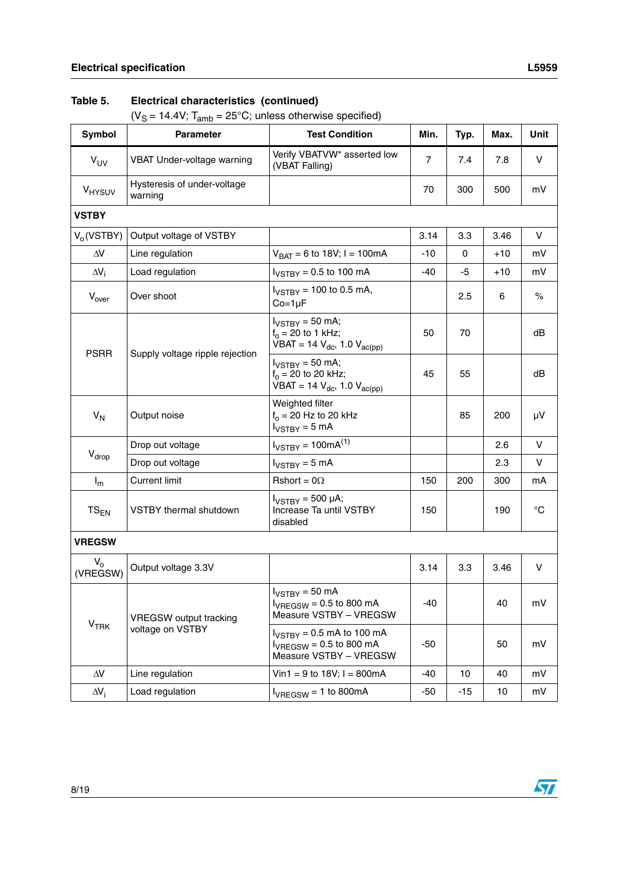( $V_S = 14.4V$ ; T<sub>amb</sub> = 25°C; unless otherwise specified)

| Symbol              | <b>Parameter</b>                       | <b>Test Condition</b>                                                                    | Min.           | Typ.  | Max.  | Unit        |
|---------------------|----------------------------------------|------------------------------------------------------------------------------------------|----------------|-------|-------|-------------|
| $V_{UV}$            | VBAT Under-voltage warning             | Verify VBATVW <sup>*</sup> asserted low<br>(VBAT Falling)                                | $\overline{7}$ | 7.4   | 7.8   | v           |
| V <sub>HYSUV</sub>  | Hysteresis of under-voltage<br>warning |                                                                                          | 70             | 300   | 500   | mV          |
| <b>VSTBY</b>        |                                        |                                                                                          |                |       |       |             |
| $V_0$ (VSTBY)       | Output voltage of VSTBY                |                                                                                          | 3.14           | 3.3   | 3.46  | V           |
| $\Delta V$          | Line regulation                        | $V_{BAT} = 6$ to 18V; I = 100mA                                                          | $-10$          | 0     | $+10$ | mV          |
| $\Delta V_i$        | Load regulation                        | $I_{VSTBY}$ = 0.5 to 100 mA                                                              | -40            | -5    | +10   | mV          |
| $V_{over}$          | Over shoot                             | $I_{VSTBY}$ = 100 to 0.5 mA,<br>$Co=1\mu F$                                              |                | 2.5   | 6     | $\%$        |
| <b>PSRR</b>         |                                        | $I_{VSTBY}$ = 50 mA;<br>$f_0 = 20$ to 1 kHz;<br>VBAT = 14 $V_{dc}$ , 1.0 $V_{ac(pp)}$    | 50             | 70    |       | dB          |
|                     | Supply voltage ripple rejection        | $I_{VSTBY}$ = 50 mA;<br>$f_0 = 20$ to 20 kHz;<br>VBAT = 14 $V_{dc}$ , 1.0 $V_{ac(pp)}$   | 45             | 55    |       | dB          |
| $V_N$               | Output noise                           | Weighted filter<br>$f_0 = 20$ Hz to 20 kHz<br>$I_{VSTBY} = 5$ mA                         |                | 85    | 200   | μV          |
|                     | Drop out voltage                       | $I_{VSTBY}$ = 100mA <sup>(1)</sup>                                                       |                |       | 2.6   | V           |
| $V_{drop}$          | Drop out voltage                       | $I_{VSTBY} = 5$ mA                                                                       |                |       | 2.3   | V           |
| $I_m$               | <b>Current limit</b>                   | Rshort = $0\Omega$                                                                       | 150            | 200   | 300   | mA          |
| $TS_{EN}$           | <b>VSTBY thermal shutdown</b>          | $I_{VSTBY}$ = 500 µA;<br>Increase Ta until VSTBY<br>disabled                             | 150            |       | 190   | $^{\circ}C$ |
| <b>VREGSW</b>       |                                        |                                                                                          |                |       |       |             |
| $V_{o}$<br>(VREGSW) | Output voltage 3.3V                    |                                                                                          | 3.14           | 3.3   | 3.46  | V           |
|                     | <b>VREGSW</b> output tracking          | $I_{VSTBY}$ = 50 mA<br>$I_{VREGSW} = 0.5$ to 800 mA<br>Measure VSTBY - VREGSW            | -40            |       | 40    | mV          |
| V <sub>TRK</sub>    | voltage on VSTBY                       | $I_{VSTBY}$ = 0.5 mA to 100 mA<br>$I_{VREGSW} = 0.5$ to 800 mA<br>Measure VSTBY - VREGSW | -50            |       | 50    | mV          |
| $\Delta\!V$         | Line regulation                        | Vin1 = 9 to 18V; $I = 800mA$                                                             | -40            | 10    | 40    | mV          |
| $\Delta V_i$        | Load regulation                        | $I_{VREGSW} = 1$ to 800mA                                                                | -50            | $-15$ | 10    | mV          |

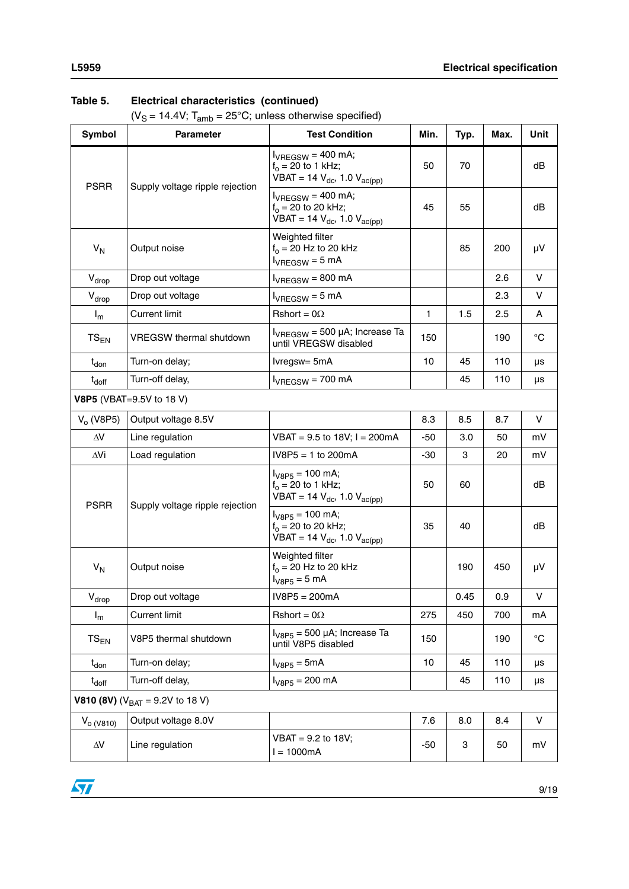( $V_S = 14.4V$ ; T<sub>amb</sub> = 25°C; unless otherwise specified)

| <b>Symbol</b>     | <b>Parameter</b>                             | <b>Test Condition</b>                                                                    | Min.  | Typ. | Max. | Unit        |
|-------------------|----------------------------------------------|------------------------------------------------------------------------------------------|-------|------|------|-------------|
| <b>PSRR</b>       | Supply voltage ripple rejection              | $I_{VREGSW} = 400$ mA;<br>$f_0 = 20$ to 1 kHz;<br>$VBAT = 14 V_{dc}$ , 1.0 $V_{ac(pp)}$  | 50    | 70   |      | dB          |
|                   |                                              | $I_{VREGSW} = 400$ mA;<br>$f_0 = 20$ to 20 kHz;<br>$VBAT = 14 V_{dc}$ , 1.0 $V_{ac(pp)}$ | 45    | 55   |      | dB          |
| $V_N$             | Output noise                                 | Weighted filter<br>$f_0 = 20$ Hz to 20 kHz<br>$I_{VREGSW} = 5$ mA                        |       | 85   | 200  | μV          |
| $V_{drop}$        | Drop out voltage                             | $I_{VREGSW} = 800 \text{ mA}$                                                            |       |      | 2.6  | V           |
| $V_{drop}$        | Drop out voltage                             | $I_{VREGSW} = 5$ mA                                                                      |       |      | 2.3  | V           |
| $I_m$             | <b>Current limit</b>                         | Rshort = $0\Omega$                                                                       | 1     | 1.5  | 2.5  | A           |
| $TS_{EN}$         | <b>VREGSW</b> thermal shutdown               | $I_{VREGSW}$ = 500 µA; Increase Ta<br>until VREGSW disabled                              | 150   |      | 190  | $^{\circ}C$ |
| $t_{\text{don}}$  | Turn-on delay;                               | Ivregsw= 5mA                                                                             | 10    | 45   | 110  | μs          |
| $t_{\text{doff}}$ | Turn-off delay,                              | $I_{VREGSW} = 700$ mA                                                                    |       | 45   | 110  | μs          |
|                   | V8P5 (VBAT=9.5V to 18 V)                     |                                                                                          |       |      |      |             |
| $V_0$ (V8P5)      | Output voltage 8.5V                          |                                                                                          | 8.3   | 8.5  | 8.7  | V           |
| $\Delta\!V$       | Line regulation                              | $VBAT = 9.5$ to 18V; $I = 200mA$                                                         | $-50$ | 3.0  | 50   | mV          |
| ΔVi               | Load regulation                              | $IV8P5 = 1$ to 200mA                                                                     | $-30$ | 3    | 20   | mV          |
| <b>PSRR</b>       | Supply voltage ripple rejection              | $I_{V8P5}$ = 100 mA;<br>$f_0 = 20$ to 1 kHz;<br>$VBAT = 14 V_{dc}$ , 1.0 $V_{ac(pp)}$    | 50    | 60   |      | dB          |
|                   |                                              | $I_{V8P5}$ = 100 mA;<br>$f_0 = 20$ to 20 kHz;<br>VBAT = 14 $V_{dc}$ , 1.0 $V_{ac(pp)}$   | 35    | 40   |      | dB          |
| $V_N$             | Output noise                                 | Weighted filter<br>$f_0$ = 20 Hz to 20 kHz<br>$I_{V8P5} = 5$ mA                          |       | 190  | 450  | μV          |
| $V_{drop}$        | Drop out voltage                             | $IV8P5 = 200mA$                                                                          |       | 0.45 | 0.9  | ν           |
| $I_m$             | <b>Current limit</b>                         | Rshort = $0\Omega$                                                                       | 275   | 450  | 700  | mA          |
| $TS_{EN}$         | V8P5 thermal shutdown                        | $I_{V8P5}$ = 500 µA; Increase Ta<br>until V8P5 disabled                                  | 150   |      | 190  | $^{\circ}C$ |
| $t_{\text{don}}$  | Turn-on delay;                               | $IV8P5 = 5mA$                                                                            | 10    | 45   | 110  | μs          |
| $t_{\text{doff}}$ | Turn-off delay,                              | $I_{V8P5} = 200$ mA                                                                      |       | 45   | 110  | μs          |
|                   | <b>V810 (8V)</b> ( $V_{BAT} = 9.2V$ to 18 V) |                                                                                          |       |      |      |             |
| $V_{o (V810)}$    | Output voltage 8.0V                          |                                                                                          | 7.6   | 8.0  | 8.4  | V           |
| $\Delta\!V$       | Line regulation                              | VBAT = 9.2 to 18V;<br>$I = 1000mA$                                                       | -50   | 3    | 50   | mV          |

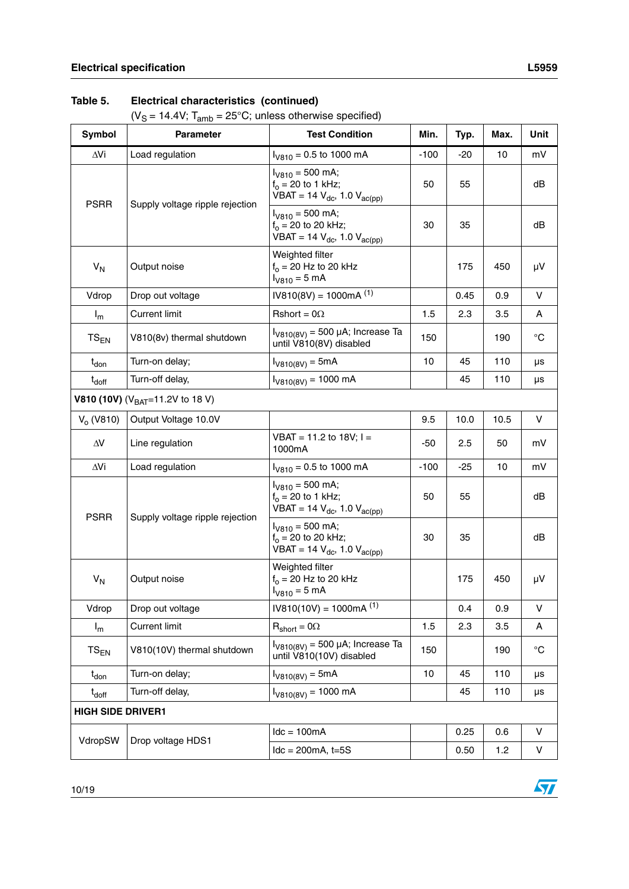( $V_S = 14.4V$ ; T<sub>amb</sub> = 25°C; unless otherwise specified)

| Symbol                   | <b>Parameter</b>                        | <b>Test Condition</b>                                                                  | Min.   | Typ.  | Max. | Unit         |
|--------------------------|-----------------------------------------|----------------------------------------------------------------------------------------|--------|-------|------|--------------|
| ∆Vi                      | Load regulation                         | $I_{V810}$ = 0.5 to 1000 mA                                                            | $-100$ | -20   | 10   | mV           |
| <b>PSRR</b>              | Supply voltage ripple rejection         | $I_{V810} = 500$ mA;<br>$f_0 = 20$ to 1 kHz;<br>VBAT = 14 $V_{dc}$ , 1.0 $V_{ac(pp)}$  | 50     | 55    |      | dB           |
|                          |                                         | $I_{V810} = 500$ mA;<br>$f_0 = 20$ to 20 kHz;<br>VBAT = 14 $V_{dc}$ , 1.0 $V_{ac(pp)}$ | 30     | 35    |      | dB           |
| $V_{N}$                  | Output noise                            | Weighted filter<br>$f_0 = 20$ Hz to 20 kHz<br>$I_{V810} = 5$ mA                        |        | 175   | 450  | μV           |
| Vdrop                    | Drop out voltage                        | $IV810(8V) = 1000mA(1)$                                                                |        | 0.45  | 0.9  | V            |
| $I_m$                    | <b>Current limit</b>                    | Rshort = $0\Omega$                                                                     | 1.5    | 2.3   | 3.5  | A            |
| $TS_{EN}$                | V810(8v) thermal shutdown               | $I_{V810(8V)} = 500 \mu A$ ; Increase Ta<br>until V810(8V) disabled                    | 150    |       | 190  | $^{\circ}C$  |
| t <sub>don</sub>         | Turn-on delay;                          | $I_{V810(8V)} = 5mA$                                                                   | 10     | 45    | 110  | μs           |
| $t_{\text{doff}}$        | Turn-off delay,                         | $I_{V810(8V)} = 1000$ mA                                                               |        | 45    | 110  | μs           |
|                          | V810 (10V) ( $V_{BAT} = 11.2V$ to 18 V) |                                                                                        |        |       |      |              |
| $V_0$ (V810)             | Output Voltage 10.0V                    |                                                                                        | 9.5    | 10.0  | 10.5 | V            |
| $\Delta V$               | Line regulation                         | VBAT = 11.2 to 18V; $I =$<br>1000mA                                                    | $-50$  | 2.5   | 50   | mV           |
| ΔVi                      | Load regulation                         | $I_{\text{V810}}$ = 0.5 to 1000 mA                                                     | $-100$ | $-25$ | 10   | mV           |
|                          |                                         | $I_{V810}$ = 500 mA;<br>$f_0 = 20$ to 1 kHz;<br>VBAT = 14 $V_{dc}$ , 1.0 $V_{ac(pp)}$  | 50     | 55    |      | dB           |
| <b>PSRR</b>              | Supply voltage ripple rejection         | $I_{V810} = 500$ mA;<br>$f_0 = 20$ to 20 kHz;<br>VBAT = 14 $V_{dc}$ , 1.0 $V_{ac(pp)}$ | 30     | 35    |      | dB           |
| $V_N$                    | Output noise                            | Weighted filter<br>$f_0 = 20$ Hz to 20 kHz<br>$I_{V810} = 5$ mA                        |        | 175   | 450  | μV           |
| Vdrop                    | Drop out voltage                        | $IV810(10V) = 1000mA(1)$                                                               |        | 0.4   | 0.9  | V            |
| $I_m$                    | <b>Current limit</b>                    | $R_{short} = 0\Omega$                                                                  | 1.5    | 2.3   | 3.5  | A            |
| ${\rm TS}_{\rm EN}$      | V810(10V) thermal shutdown              | $I_{V810(8V)}$ = 500 µA; Increase Ta<br>until V810(10V) disabled                       | 150    |       | 190  | $^{\circ}$ C |
| $t_{\mathsf{don}}$       | Turn-on delay;                          | $I_{V810(8V)} = 5mA$                                                                   | 10     | 45    | 110  | μs           |
| $t_{\text{doff}}$        | Turn-off delay,                         | $I_{V810(8V)} = 1000$ mA                                                               |        | 45    | 110  | μs           |
| <b>HIGH SIDE DRIVER1</b> |                                         |                                                                                        |        |       |      |              |
|                          | Drop voltage HDS1                       | $Idc = 100mA$                                                                          |        | 0.25  | 0.6  | V            |
| VdropSW                  |                                         | $Idc = 200mA$ , $t = 5S$                                                               |        | 0.50  | 1.2  | V            |

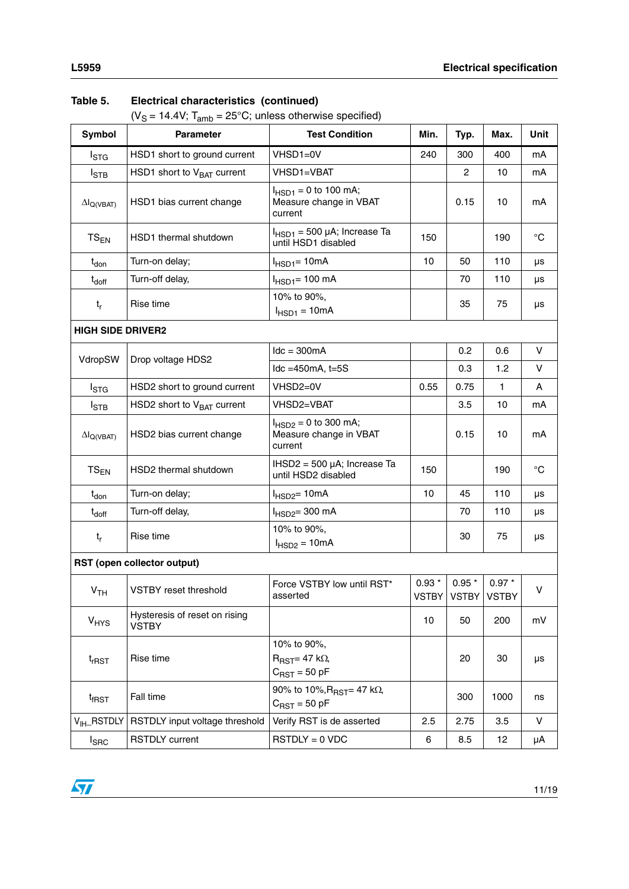( $V_S = 14.4V$ ; T<sub>amb</sub> = 25°C; unless otherwise specified)

| <b>Symbol</b>               | <b>Parameter</b>                              | <b>Test Condition</b>                                                     | Min.              | Typ.                                       | Max.    | Unit        |  |
|-----------------------------|-----------------------------------------------|---------------------------------------------------------------------------|-------------------|--------------------------------------------|---------|-------------|--|
| $I_{\text{STG}}$            | HSD1 short to ground current                  | VHSD1=0V                                                                  | 240               | 300                                        | 400     | mA          |  |
| $I_{\text{STB}}$            | HSD1 short to $V_{BAT}$ current               | VHSD1=VBAT                                                                |                   | $\overline{c}$                             | 10      | mA          |  |
| $\Delta I_{Q(VBAT)}$        | HSD1 bias current change                      | $I_{HSD1} = 0$ to 100 mA;<br>Measure change in VBAT<br>current            |                   | 0.15                                       | 10      | mA          |  |
| $TS_{EN}$                   | HSD1 thermal shutdown                         | $I_{HSD1}$ = 500 µA; Increase Ta<br>until HSD1 disabled                   | 150               |                                            | 190     | $^{\circ}C$ |  |
| $t_{\text{don}}$            | Turn-on delay;                                | $IHSD1=10mA$                                                              | 10                | 50                                         | 110     | μs          |  |
| $t_{\text{doff}}$           | Turn-off delay,                               | $I_{HSD1} = 100$ mA                                                       |                   | 70                                         | 110     | μs          |  |
| $t_{r}$                     | Rise time                                     | 10% to 90%,<br>$I_{HSD1} = 10mA$                                          |                   | 35                                         | 75      | μs          |  |
| <b>HIGH SIDE DRIVER2</b>    |                                               |                                                                           |                   |                                            |         |             |  |
|                             |                                               | $Idc = 300mA$                                                             |                   | 0.2                                        | 0.6     | V           |  |
| VdropSW                     | Drop voltage HDS2                             | $Idc = 450mA$ , $t = 5S$                                                  |                   | 0.3                                        | 1.2     | V           |  |
| I <sub>STG</sub>            | HSD2 short to ground current                  | VHSD2=0V                                                                  | 0.55              | 0.75                                       | 1       | Α           |  |
| $I_{\text{STB}}$            | HSD2 short to $V_{BAT}$ current               | VHSD2=VBAT                                                                |                   | 3.5                                        | 10      | mA          |  |
| $\Delta I_{Q(VBAT)}$        | HSD2 bias current change                      | $I_{HSD2} = 0$ to 300 mA;<br>Measure change in VBAT<br>current            |                   | 0.15                                       | 10      | mA          |  |
| $TS_{EN}$                   | HSD2 thermal shutdown                         | $IHSD2 = 500 \mu A$ ; Increase Ta<br>until HSD2 disabled                  | 150               |                                            | 190     | $^{\circ}C$ |  |
| $t_{don}$                   | Turn-on delay;                                | $I_{HSD2}$ = 10mA                                                         | 10                | 45                                         | 110     | μs          |  |
| $t_{\text{doff}}$           | Turn-off delay,                               | $I_{HSD2} = 300$ mA                                                       |                   | 70                                         | 110     | μs          |  |
| $t_{r}$                     | Rise time                                     | 10% to 90%,<br>$I_{HSD2} = 10mA$                                          |                   | 30                                         | 75      | μs          |  |
| RST (open collector output) |                                               |                                                                           |                   |                                            |         |             |  |
| V <sub>TH</sub>             | <b>VSTBY</b> reset threshold                  | Force VSTBY low until RST*<br>asserted                                    | $0.93$ $^{\star}$ | $0.95$ $^{\star}$<br>VSTBY   VSTBY   VSTBY | $0.97*$ | V           |  |
| <b>V<sub>HYS</sub></b>      | Hysteresis of reset on rising<br><b>VSTBY</b> |                                                                           | 10                | 50                                         | 200     | mV          |  |
| $t$ <sub>rRST</sub>         | Rise time                                     | 10% to 90%,<br>$R_{\text{RST}} = 47 \text{ k}\Omega$<br>$C_{RST}$ = 50 pF |                   | 20                                         | 30      | μs          |  |
| $t_{\text{fRST}}$           | Fall time                                     | 90% to 10%, $R_{\text{RST}} = 47$ k $\Omega$ ,<br>$C_{RST}$ = 50 pF       |                   | 300                                        | 1000    | ns          |  |
| V <sub>IH</sub> _RSTDLY     | RSTDLY input voltage threshold                | Verify RST is de asserted                                                 | 2.5               | 2.75                                       | 3.5     | V           |  |
| $I_{SRC}$                   | <b>RSTDLY</b> current                         | $RSTDLY = 0 VDC$                                                          | 6                 | 8.5                                        | 12      | μA          |  |

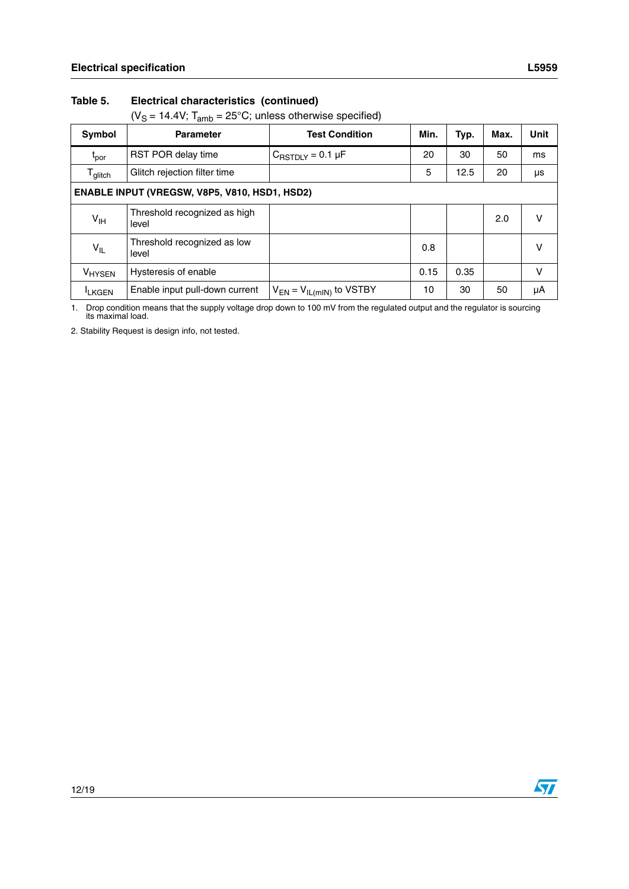( $V_S = 14.4V$ ; T<sub>amb</sub> = 25°C; unless otherwise specified)

| Symbol                                              | <b>Parameter</b>                      | <b>Test Condition</b>           | Min. | Typ. | Max. | <b>Unit</b> |
|-----------------------------------------------------|---------------------------------------|---------------------------------|------|------|------|-------------|
| t <sub>por</sub>                                    | <b>RST POR delay time</b>             | $C_{\text{RSTDIV}} = 0.1 \mu F$ | 20   | 30   | 50   | ms          |
| Glitch rejection filter time<br>$T_{\text{glitch}}$ |                                       |                                 | 5    | 12.5 | 20   | μs          |
| ENABLE INPUT (VREGSW, V8P5, V810, HSD1, HSD2)       |                                       |                                 |      |      |      |             |
| V <sub>IH</sub>                                     | Threshold recognized as high<br>level |                                 |      |      | 2.0  | v           |
| Threshold recognized as low<br>$V_{IL}$<br>level    |                                       |                                 | 0.8  |      |      | v           |
| V <sub>HYSEN</sub>                                  | Hysteresis of enable                  |                                 | 0.15 | 0.35 |      | v           |
| <b>LKGEN</b>                                        | Enable input pull-down current        | $V_{EN} = V_{IL(mIN)}$ to VSTBY | 10   | 30   | 50   | μA          |

1. Drop condition means that the supply voltage drop down to 100 mV from the regulated output and the regulator is sourcing its maximal load.

2. Stability Request is design info, not tested.

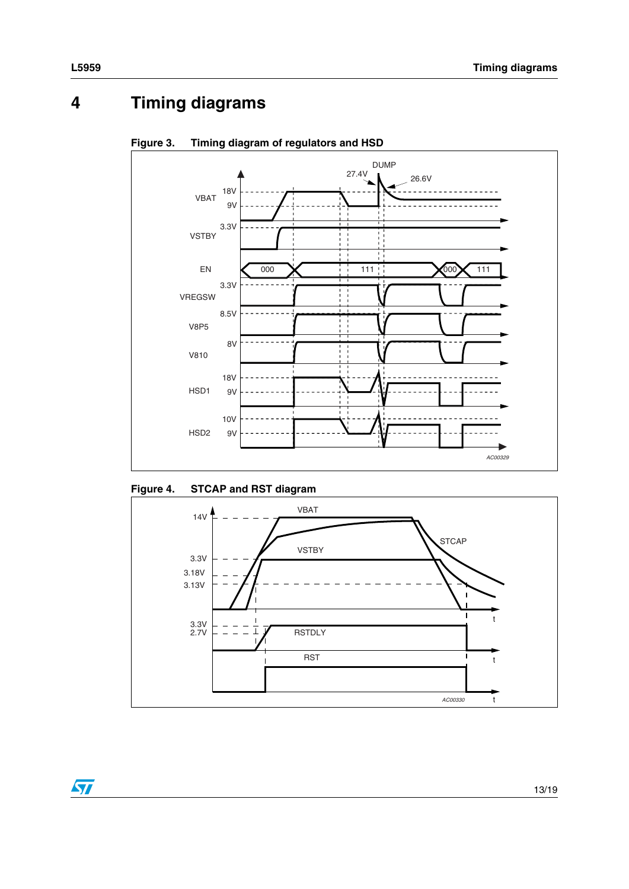# <span id="page-12-0"></span>**4 Timing diagrams**



<span id="page-12-1"></span>**Figure 3. Timing diagram of regulators and HSD**

<span id="page-12-2"></span>



 $\sqrt{2}$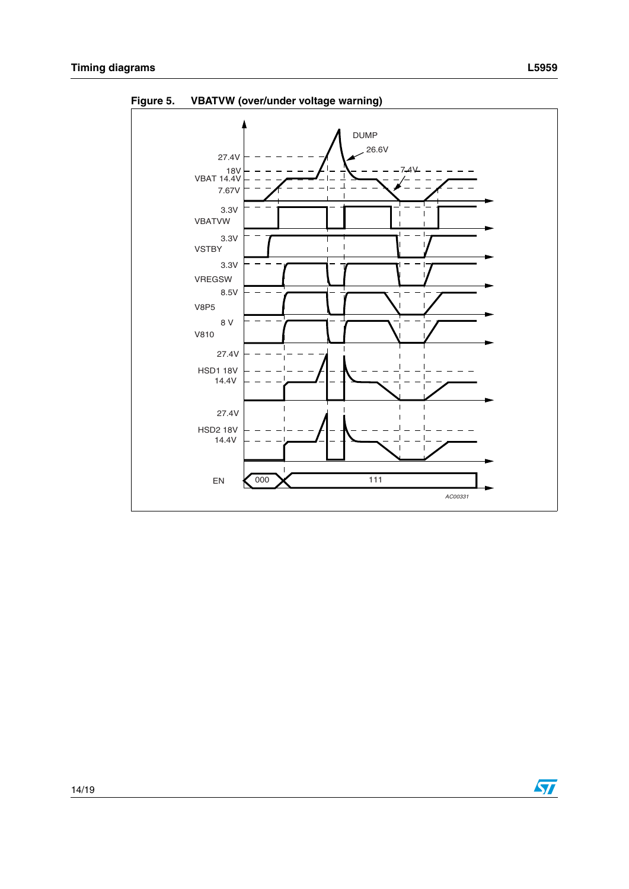

<span id="page-13-0"></span>**Figure 5. VBATVW (over/under voltage warning)**



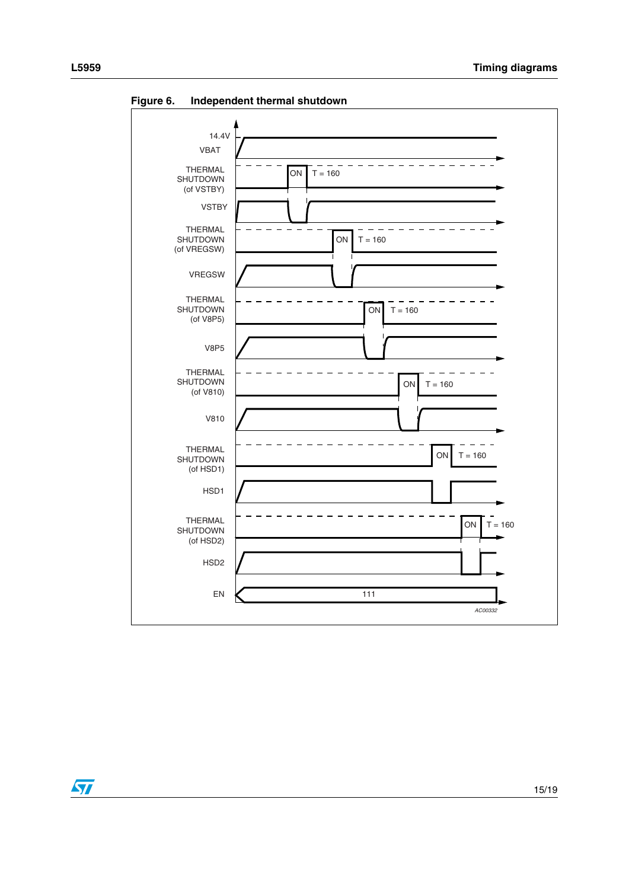

<span id="page-14-0"></span>**Figure 6. Independent thermal shutdown**

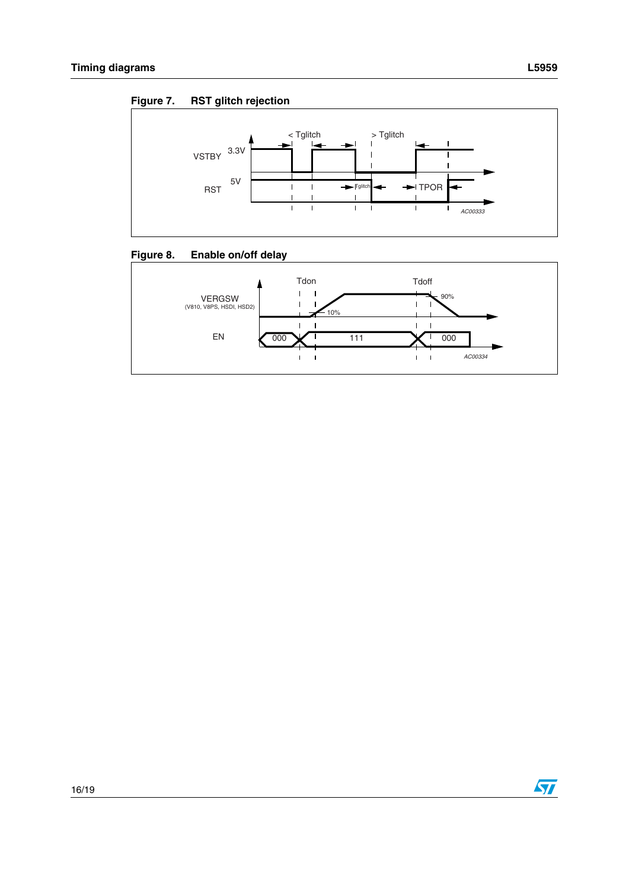<span id="page-15-0"></span>



<span id="page-15-1"></span>



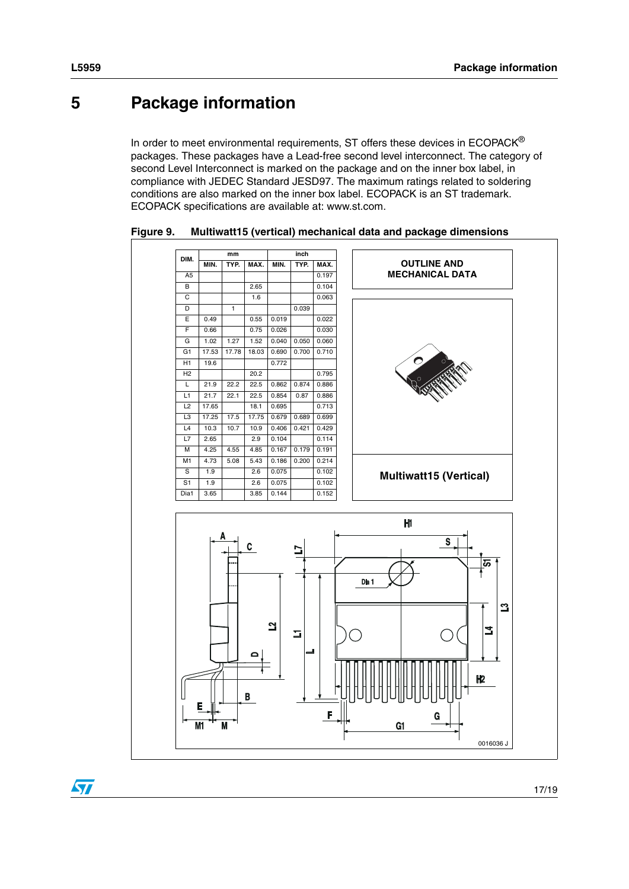## <span id="page-16-0"></span>**5 Package information**

In order to meet environmental requirements, ST offers these devices in  $ECOPACK^{\circledcirc}$ packages. These packages have a Lead-free second level interconnect. The category of second Level Interconnect is marked on the package and on the inner box label, in compliance with JEDEC Standard JESD97. The maximum ratings related to soldering conditions are also marked on the inner box label. ECOPACK is an ST trademark. ECOPACK specifications are available at: www.st.com.



<span id="page-16-1"></span>**Figure 9. Multiwatt15 (vertical) mechanical data and package dimensions**

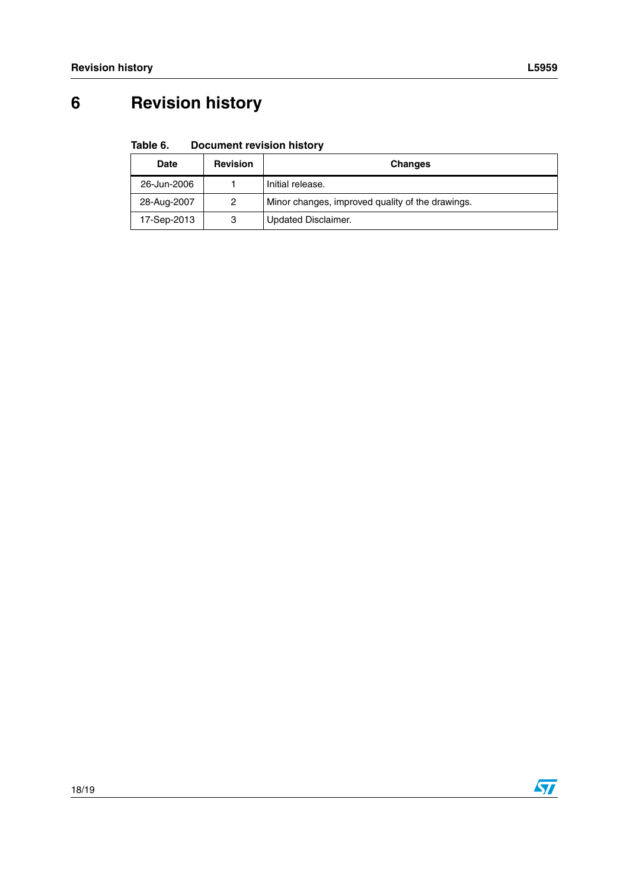# <span id="page-17-0"></span>**6 Revision history**

#### <span id="page-17-1"></span>Table 6. **Document revision history**

| <b>Date</b> | <b>Revision</b> | <b>Changes</b>                                   |
|-------------|-----------------|--------------------------------------------------|
| 26-Jun-2006 |                 | Initial release.                                 |
| 28-Aug-2007 | 2               | Minor changes, improved quality of the drawings. |
| 17-Sep-2013 | 3               | Updated Disclaimer.                              |